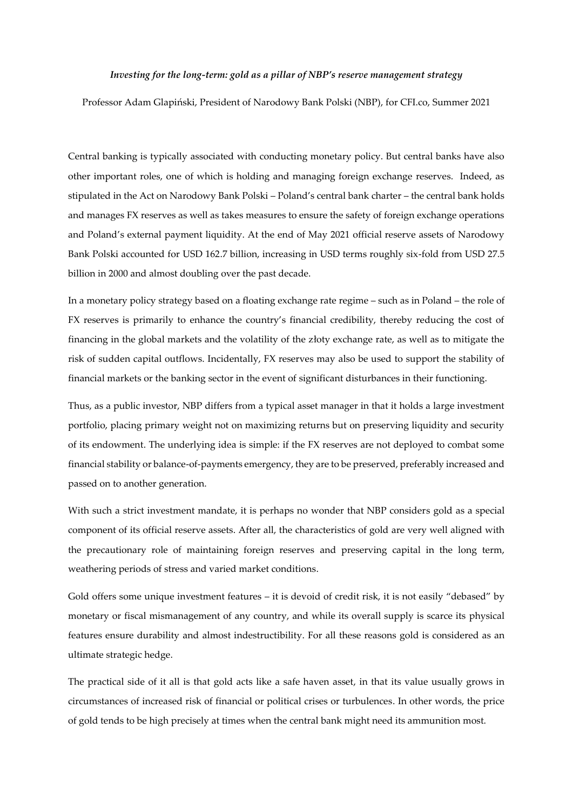## *Investing for the long-term: gold as a pillar of NBP's reserve management strategy*

Professor Adam Glapiński, President of Narodowy Bank Polski (NBP), for CFI.co, Summer 2021

Central banking is typically associated with conducting monetary policy. But central banks have also other important roles, one of which is holding and managing foreign exchange reserves. Indeed, as stipulated in the Act on Narodowy Bank Polski – Poland's central bank charter – the central bank holds and manages FX reserves as well as takes measures to ensure the safety of foreign exchange operations and Poland's external payment liquidity. At the end of May 2021 official reserve assets of Narodowy Bank Polski accounted for USD 162.7 billion, increasing in USD terms roughly six-fold from USD 27.5 billion in 2000 and almost doubling over the past decade.

In a monetary policy strategy based on a floating exchange rate regime – such as in Poland – the role of FX reserves is primarily to enhance the country's financial credibility, thereby reducing the cost of financing in the global markets and the volatility of the złoty exchange rate, as well as to mitigate the risk of sudden capital outflows. Incidentally, FX reserves may also be used to support the stability of financial markets or the banking sector in the event of significant disturbances in their functioning.

Thus, as a public investor, NBP differs from a typical asset manager in that it holds a large investment portfolio, placing primary weight not on maximizing returns but on preserving liquidity and security of its endowment. The underlying idea is simple: if the FX reserves are not deployed to combat some financial stability or balance-of-payments emergency, they are to be preserved, preferably increased and passed on to another generation.

With such a strict investment mandate, it is perhaps no wonder that NBP considers gold as a special component of its official reserve assets. After all, the characteristics of gold are very well aligned with the precautionary role of maintaining foreign reserves and preserving capital in the long term, weathering periods of stress and varied market conditions.

Gold offers some unique investment features – it is devoid of credit risk, it is not easily "debased" by monetary or fiscal mismanagement of any country, and while its overall supply is scarce its physical features ensure durability and almost indestructibility. For all these reasons gold is considered as an ultimate strategic hedge.

The practical side of it all is that gold acts like a safe haven asset, in that its value usually grows in circumstances of increased risk of financial or political crises or turbulences. In other words, the price of gold tends to be high precisely at times when the central bank might need its ammunition most.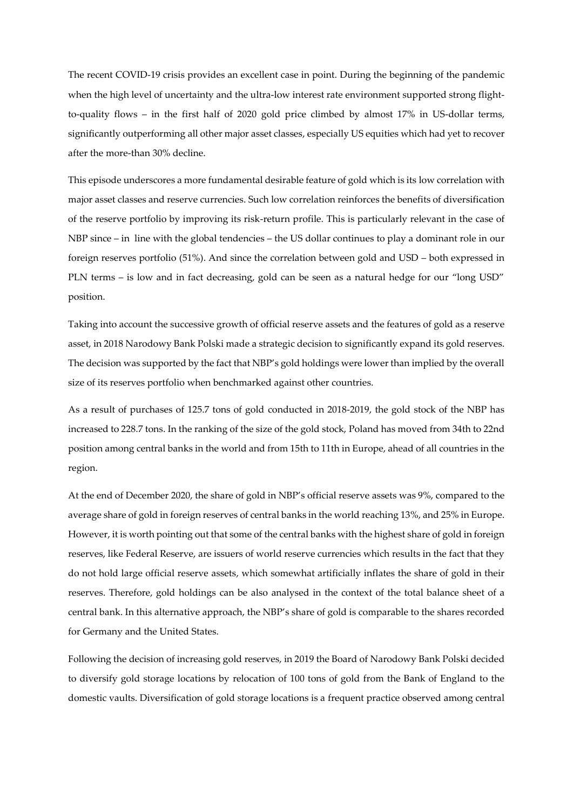The recent COVID-19 crisis provides an excellent case in point. During the beginning of the pandemic when the high level of uncertainty and the ultra-low interest rate environment supported strong flightto-quality flows – in the first half of 2020 gold price climbed by almost 17% in US-dollar terms, significantly outperforming all other major asset classes, especially US equities which had yet to recover after the more-than 30% decline.

This episode underscores a more fundamental desirable feature of gold which is its low correlation with major asset classes and reserve currencies. Such low correlation reinforces the benefits of diversification of the reserve portfolio by improving its risk-return profile. This is particularly relevant in the case of NBP since – in line with the global tendencies – the US dollar continues to play a dominant role in our foreign reserves portfolio (51%). And since the correlation between gold and USD – both expressed in PLN terms – is low and in fact decreasing, gold can be seen as a natural hedge for our "long USD" position.

Taking into account the successive growth of official reserve assets and the features of gold as a reserve asset, in 2018 Narodowy Bank Polski made a strategic decision to significantly expand its gold reserves. The decision was supported by the fact that NBP's gold holdings were lower than implied by the overall size of its reserves portfolio when benchmarked against other countries.

As a result of purchases of 125.7 tons of gold conducted in 2018-2019, the gold stock of the NBP has increased to 228.7 tons. In the ranking of the size of the gold stock, Poland has moved from 34th to 22nd position among central banks in the world and from 15th to 11th in Europe, ahead of all countries in the region.

At the end of December 2020, the share of gold in NBP's official reserve assets was 9%, compared to the average share of gold in foreign reserves of central banks in the world reaching 13%, and 25% in Europe. However, it is worth pointing out that some of the central banks with the highest share of gold in foreign reserves, like Federal Reserve, are issuers of world reserve currencies which results in the fact that they do not hold large official reserve assets, which somewhat artificially inflates the share of gold in their reserves. Therefore, gold holdings can be also analysed in the context of the total balance sheet of a central bank. In this alternative approach, the NBP's share of gold is comparable to the shares recorded for Germany and the United States.

Following the decision of increasing gold reserves, in 2019 the Board of Narodowy Bank Polski decided to diversify gold storage locations by relocation of 100 tons of gold from the Bank of England to the domestic vaults. Diversification of gold storage locations is a frequent practice observed among central